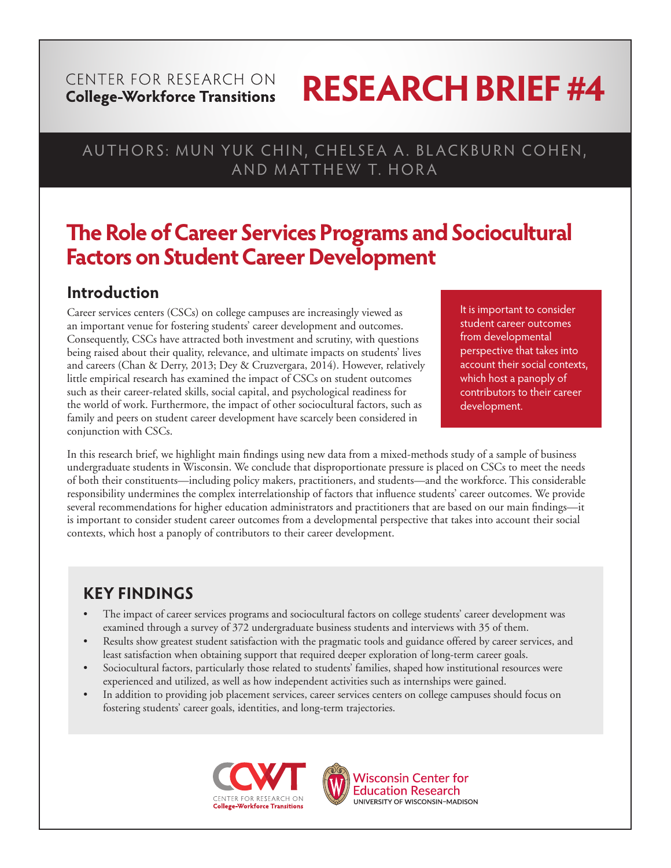#### CENTER FOR RESEARCH ON **College-Workforce Transitions**

# **RESEARCH BRIEF #4**

# AUTHORS: MUN YUK CHIN, CHELSEA A. BLACKBURN COHEN, AND MATTHEW T. HORA

# **The Role of Career Services Programs and Sociocultural Factors on Student Career Development**

# **Introduction**

Career services centers (CSCs) on college campuses are increasingly viewed as an important venue for fostering students' career development and outcomes. Consequently, CSCs have attracted both investment and scrutiny, with questions being raised about their quality, relevance, and ultimate impacts on students' lives and careers (Chan & Derry, 2013; Dey & Cruzvergara, 2014). However, relatively little empirical research has examined the impact of CSCs on student outcomes such as their career-related skills, social capital, and psychological readiness for the world of work. Furthermore, the impact of other sociocultural factors, such as family and peers on student career development have scarcely been considered in conjunction with CSCs.

It is important to consider student career outcomes from developmental perspective that takes into account their social contexts, which host a panoply of contributors to their career development.

In this research brief, we highlight main findings using new data from a mixed-methods study of a sample of business undergraduate students in Wisconsin. We conclude that disproportionate pressure is placed on CSCs to meet the needs of both their constituents—including policy makers, practitioners, and students—and the workforce. This considerable responsibility undermines the complex interrelationship of factors that influence students' career outcomes. We provide several recommendations for higher education administrators and practitioners that are based on our main findings—it is important to consider student career outcomes from a developmental perspective that takes into account their social contexts, which host a panoply of contributors to their career development.

# **KEY FINDINGS**

- The impact of career services programs and sociocultural factors on college students' career development was examined through a survey of 372 undergraduate business students and interviews with 35 of them.
- Results show greatest student satisfaction with the pragmatic tools and guidance offered by career services, and least satisfaction when obtaining support that required deeper exploration of long-term career goals.
- Sociocultural factors, particularly those related to students' families, shaped how institutional resources were experienced and utilized, as well as how independent activities such as internships were gained.
- In addition to providing job placement services, career services centers on college campuses should focus on fostering students' career goals, identities, and long-term trajectories.





**Wisconsin Center for Education Research** UNIVERSITY OF WISCONSIN-MADISON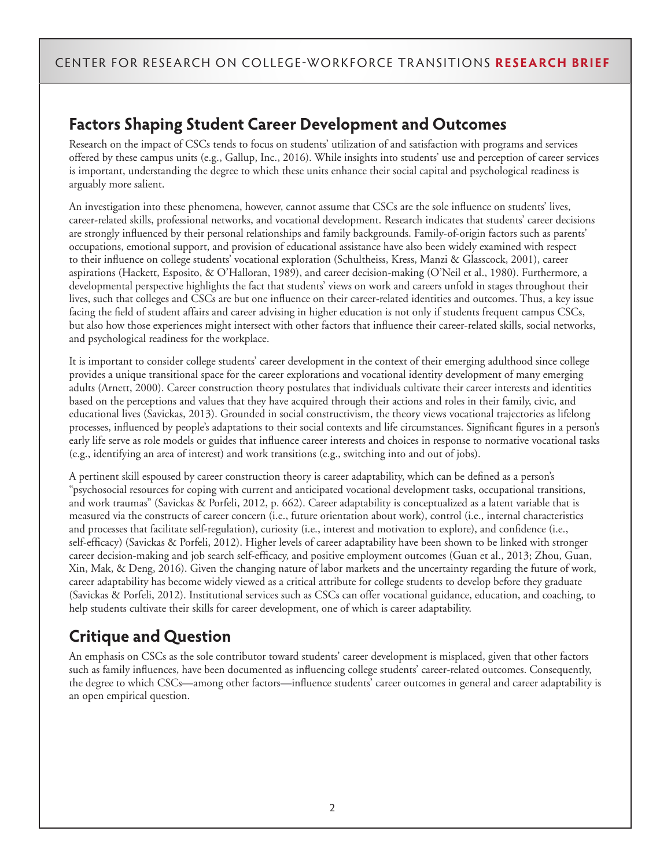## **Factors Shaping Student Career Development and Outcomes**

Research on the impact of CSCs tends to focus on students' utilization of and satisfaction with programs and services offered by these campus units (e.g., Gallup, Inc., 2016). While insights into students' use and perception of career services is important, understanding the degree to which these units enhance their social capital and psychological readiness is arguably more salient.

An investigation into these phenomena, however, cannot assume that CSCs are the sole influence on students' lives, career-related skills, professional networks, and vocational development. Research indicates that students' career decisions are strongly influenced by their personal relationships and family backgrounds. Family-of-origin factors such as parents' occupations, emotional support, and provision of educational assistance have also been widely examined with respect to their influence on college students' vocational exploration (Schultheiss, Kress, Manzi & Glasscock, 2001), career aspirations (Hackett, Esposito, & O'Halloran, 1989), and career decision-making (O'Neil et al., 1980). Furthermore, a developmental perspective highlights the fact that students' views on work and careers unfold in stages throughout their lives, such that colleges and CSCs are but one influence on their career-related identities and outcomes. Thus, a key issue facing the field of student affairs and career advising in higher education is not only if students frequent campus CSCs, but also how those experiences might intersect with other factors that influence their career-related skills, social networks, and psychological readiness for the workplace.

It is important to consider college students' career development in the context of their emerging adulthood since college provides a unique transitional space for the career explorations and vocational identity development of many emerging adults (Arnett, 2000). Career construction theory postulates that individuals cultivate their career interests and identities based on the perceptions and values that they have acquired through their actions and roles in their family, civic, and educational lives (Savickas, 2013). Grounded in social constructivism, the theory views vocational trajectories as lifelong processes, influenced by people's adaptations to their social contexts and life circumstances. Significant figures in a person's early life serve as role models or guides that influence career interests and choices in response to normative vocational tasks (e.g., identifying an area of interest) and work transitions (e.g., switching into and out of jobs).

A pertinent skill espoused by career construction theory is career adaptability, which can be defined as a person's "psychosocial resources for coping with current and anticipated vocational development tasks, occupational transitions, and work traumas" (Savickas & Porfeli, 2012, p. 662). Career adaptability is conceptualized as a latent variable that is measured via the constructs of career concern (i.e., future orientation about work), control (i.e., internal characteristics and processes that facilitate self-regulation), curiosity (i.e., interest and motivation to explore), and confidence (i.e., self-efficacy) (Savickas & Porfeli, 2012). Higher levels of career adaptability have been shown to be linked with stronger career decision-making and job search self-efficacy, and positive employment outcomes (Guan et al., 2013; Zhou, Guan, Xin, Mak, & Deng, 2016). Given the changing nature of labor markets and the uncertainty regarding the future of work, career adaptability has become widely viewed as a critical attribute for college students to develop before they graduate (Savickas & Porfeli, 2012). Institutional services such as CSCs can offer vocational guidance, education, and coaching, to help students cultivate their skills for career development, one of which is career adaptability.

# **Critique and Question**

An emphasis on CSCs as the sole contributor toward students' career development is misplaced, given that other factors such as family influences, have been documented as influencing college students' career-related outcomes. Consequently, the degree to which CSCs—among other factors—influence students' career outcomes in general and career adaptability is an open empirical question.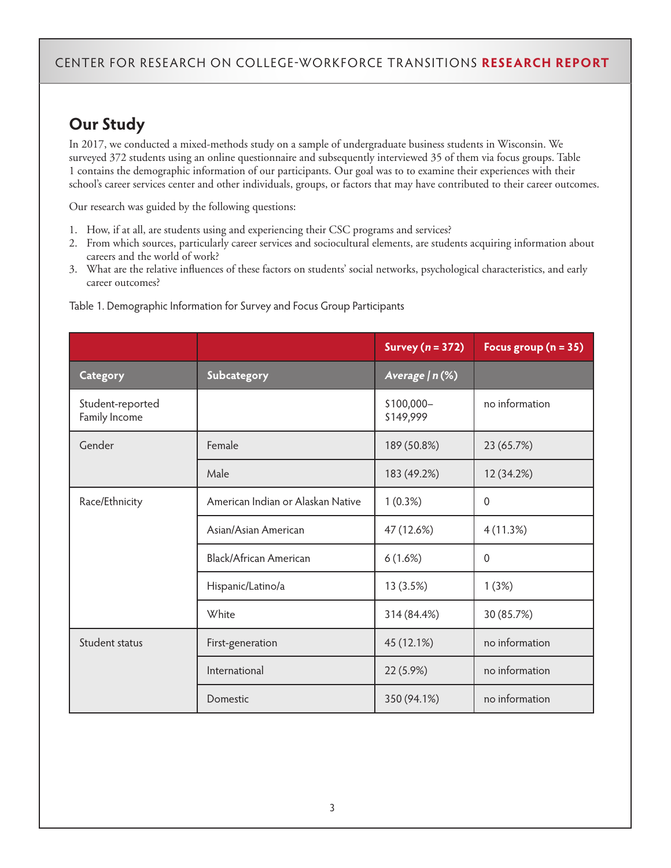# **Our Study**

In 2017, we conducted a mixed-methods study on a sample of undergraduate business students in Wisconsin. We surveyed 372 students using an online questionnaire and subsequently interviewed 35 of them via focus groups. Table 1 contains the demographic information of our participants. Our goal was to to examine their experiences with their school's career services center and other individuals, groups, or factors that may have contributed to their career outcomes.

Our research was guided by the following questions:

- 1. How, if at all, are students using and experiencing their CSC programs and services?
- 2. From which sources, particularly career services and sociocultural elements, are students acquiring information about careers and the world of work?
- 3. What are the relative influences of these factors on students' social networks, psychological characteristics, and early career outcomes?

|                                   |                                   | Survey $(n = 372)$      | Focus group ( $n = 35$ ) |
|-----------------------------------|-----------------------------------|-------------------------|--------------------------|
| Category                          | Subcategory                       | Average   n (%)         |                          |
| Student-reported<br>Family Income |                                   | \$100,000-<br>\$149,999 | no information           |
| Gender                            | Female                            | 189 (50.8%)             | 23 (65.7%)               |
|                                   | Male                              | 183 (49.2%)             | 12 (34.2%)               |
| Race/Ethnicity                    | American Indian or Alaskan Native | 1(0.3%)                 | $\mathbf{0}$             |
|                                   | Asian/Asian American              | 47 (12.6%)              | 4(11.3%)                 |
|                                   | Black/African American            | 6(1.6%)                 | $\mathbf{0}$             |
|                                   | Hispanic/Latino/a                 | 13 (3.5%)               | 1(3%)                    |
|                                   | White                             | 314 (84.4%)             | 30 (85.7%)               |
| Student status                    | First-generation                  | 45 (12.1%)              | no information           |
|                                   | International                     | 22 (5.9%)               | no information           |
|                                   | Domestic                          | 350 (94.1%)             | no information           |

Table 1. Demographic Information for Survey and Focus Group Participants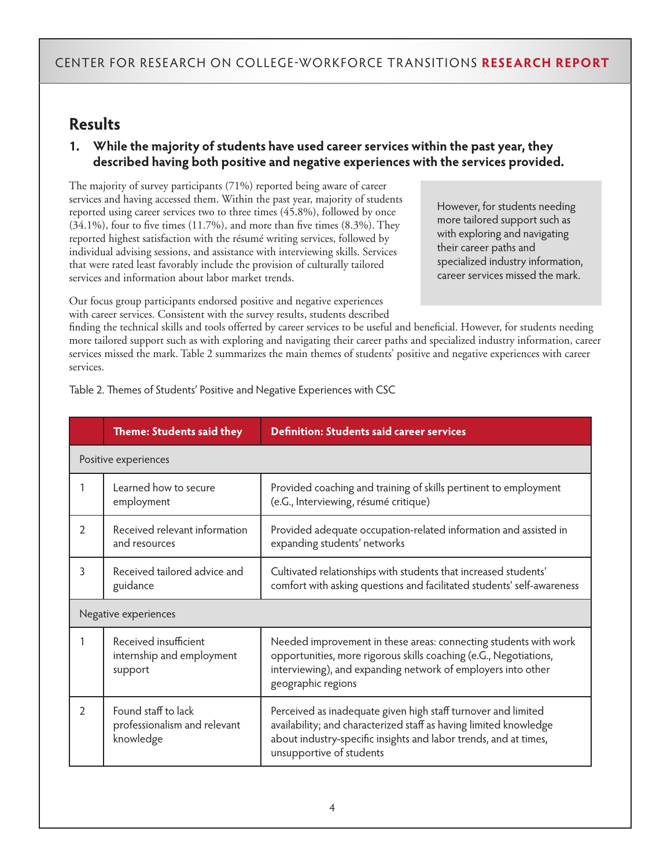### **Results**

#### **1. While the majority of students have used career services within the past year, they described having both positive and negative experiences with the services provided.**

The majority of survey participants (71%) reported being aware of career services and having accessed them. Within the past year, majority of students reported using career services two to three times (45.8%), followed by once (34.1%), four to five times (11.7%), and more than five times (8.3%). They reported highest satisfaction with the résumé writing services, followed by individual advising sessions, and assistance with interviewing skills. Services that were rated least favorably include the provision of culturally tailored services and information about labor market trends.

However, for students needing more tailored support such as with exploring and navigating their career paths and specialized industry information, career services missed the mark.

Our focus group participants endorsed positive and negative experiences with career services. Consistent with the survey results, students described

finding the technical skills and tools offerted by career services to be useful and beneficial. However, for students needing more tailored support such as with exploring and navigating their career paths and specialized industry information, career services missed the mark. Table 2 summarizes the main themes of students' positive and negative experiences with career services.

|               | Theme: Students said they                                        | <b>Definition: Students said career services</b>                                                                                                                                                                                   |  |  |  |
|---------------|------------------------------------------------------------------|------------------------------------------------------------------------------------------------------------------------------------------------------------------------------------------------------------------------------------|--|--|--|
|               | Positive experiences                                             |                                                                                                                                                                                                                                    |  |  |  |
| 1             | Learned how to secure<br>employment                              | Provided coaching and training of skills pertinent to employment<br>(e.G., Interviewing, résumé critique)                                                                                                                          |  |  |  |
| $\mathcal{L}$ | Received relevant information<br>and resources                   | Provided adequate occupation-related information and assisted in<br>expanding students' networks                                                                                                                                   |  |  |  |
| 3             | Received tailored advice and<br>guidance                         | Cultivated relationships with students that increased students'<br>comfort with asking questions and facilitated students' self-awareness                                                                                          |  |  |  |
|               | Negative experiences                                             |                                                                                                                                                                                                                                    |  |  |  |
|               | Received insufficient<br>internship and employment<br>support    | Needed improvement in these areas: connecting students with work<br>opportunities, more rigorous skills coaching (e.G., Negotiations,<br>interviewing), and expanding network of employers into other<br>geographic regions        |  |  |  |
| $\mathcal{L}$ | Found staff to lack<br>professionalism and relevant<br>knowledge | Perceived as inadequate given high staff turnover and limited<br>availability; and characterized staff as having limited knowledge<br>about industry-specific insights and labor trends, and at times,<br>unsupportive of students |  |  |  |

Table 2. Themes of Students' Positive and Negative Experiences with CSC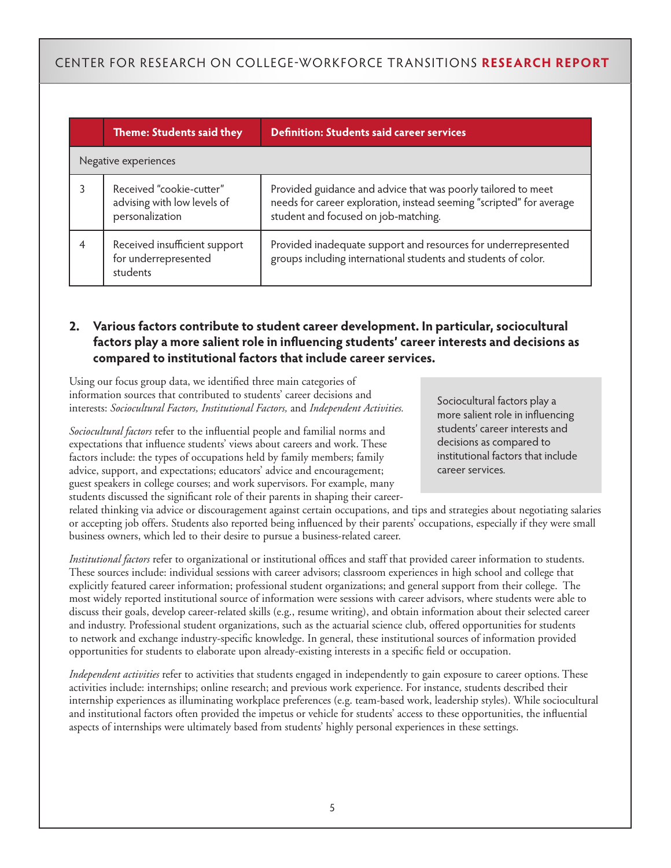|                      | Theme: Students said they                                                  | <b>Definition: Students said career services</b>                                                                                                                              |  |  |  |  |
|----------------------|----------------------------------------------------------------------------|-------------------------------------------------------------------------------------------------------------------------------------------------------------------------------|--|--|--|--|
| Negative experiences |                                                                            |                                                                                                                                                                               |  |  |  |  |
|                      | Received "cookie-cutter"<br>advising with low levels of<br>personalization | Provided guidance and advice that was poorly tailored to meet<br>needs for career exploration, instead seeming "scripted" for average<br>student and focused on job-matching. |  |  |  |  |
|                      | Received insufficient support<br>for underrepresented<br>students          | Provided inadequate support and resources for underrepresented<br>groups including international students and students of color.                                              |  |  |  |  |

#### **2. Various factors contribute to student career development. In particular, sociocultural factors play a more salient role in influencing students' career interests and decisions as compared to institutional factors that include career services.**

Using our focus group data, we identified three main categories of information sources that contributed to students' career decisions and interests: *Sociocultural Factors, Institutional Factors,* and *Independent Activities.* 

*Sociocultural factors* refer to the influential people and familial norms and expectations that influence students' views about careers and work. These factors include: the types of occupations held by family members; family advice, support, and expectations; educators' advice and encouragement; guest speakers in college courses; and work supervisors. For example, many students discussed the significant role of their parents in shaping their career-

related thinking via advice or discouragement against certain occupations, and tips and strategies about negotiating salaries or accepting job offers. Students also reported being influenced by their parents' occupations, especially if they were small business owners, which led to their desire to pursue a business-related career.

*Institutional factors* refer to organizational or institutional offices and staff that provided career information to students. These sources include: individual sessions with career advisors; classroom experiences in high school and college that explicitly featured career information; professional student organizations; and general support from their college. The most widely reported institutional source of information were sessions with career advisors, where students were able to discuss their goals, develop career-related skills (e.g., resume writing), and obtain information about their selected career and industry. Professional student organizations, such as the actuarial science club, offered opportunities for students to network and exchange industry-specific knowledge. In general, these institutional sources of information provided opportunities for students to elaborate upon already-existing interests in a specific field or occupation.

*Independent activities* refer to activities that students engaged in independently to gain exposure to career options. These activities include: internships; online research; and previous work experience. For instance, students described their internship experiences as illuminating workplace preferences (e.g. team-based work, leadership styles). While sociocultural and institutional factors often provided the impetus or vehicle for students' access to these opportunities, the influential aspects of internships were ultimately based from students' highly personal experiences in these settings.

Sociocultural factors play a more salient role in influencing students' career interests and decisions as compared to institutional factors that include career services.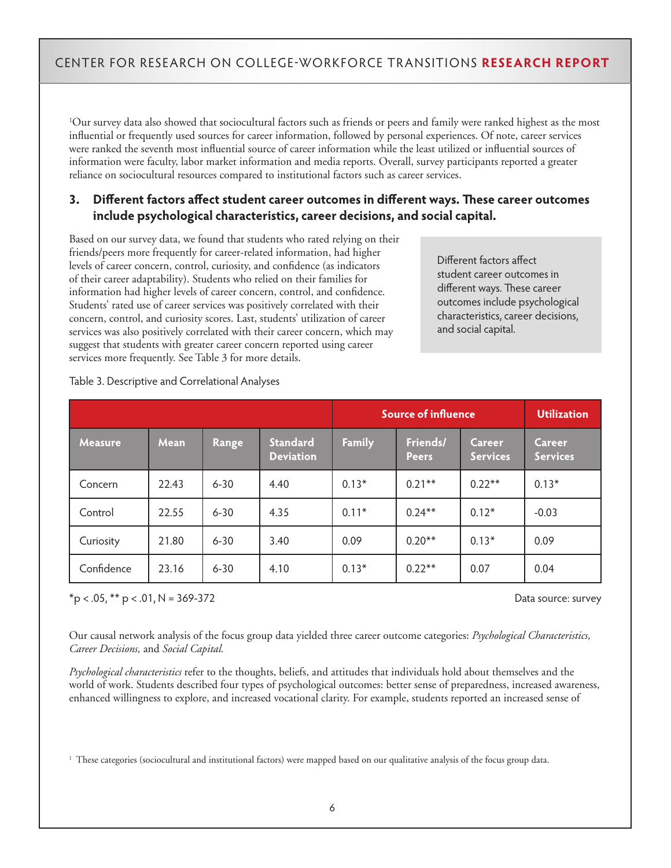1 Our survey data also showed that sociocultural factors such as friends or peers and family were ranked highest as the most influential or frequently used sources for career information, followed by personal experiences. Of note, career services were ranked the seventh most influential source of career information while the least utilized or influential sources of information were faculty, labor market information and media reports. Overall, survey participants reported a greater reliance on sociocultural resources compared to institutional factors such as career services.

#### **3. Different factors affect student career outcomes in different ways. These career outcomes include psychological characteristics, career decisions, and social capital.**

Based on our survey data, we found that students who rated relying on their friends/peers more frequently for career-related information, had higher levels of career concern, control, curiosity, and confidence (as indicators of their career adaptability). Students who relied on their families for information had higher levels of career concern, control, and confidence. Students' rated use of career services was positively correlated with their concern, control, and curiosity scores. Last, students' utilization of career services was also positively correlated with their career concern, which may suggest that students with greater career concern reported using career services more frequently. See Table 3 for more details.

Different factors affect student career outcomes in different ways. These career outcomes include psychological characteristics, career decisions, and social capital.

|                |       |          |                                     | <b>Source of influence</b> |                          |                           | <b>Utilization</b>        |
|----------------|-------|----------|-------------------------------------|----------------------------|--------------------------|---------------------------|---------------------------|
| <b>Measure</b> | Mean  | Range    | <b>Standard</b><br><b>Deviation</b> | <b>Family</b>              | Friends/<br><b>Peers</b> | Career<br><b>Services</b> | Career<br><b>Services</b> |
| Concern        | 22.43 | $6 - 30$ | 4.40                                | $0.13*$                    | $0.21***$                | $0.22**$                  | $0.13*$                   |
| Control        | 22.55 | $6 - 30$ | 4.35                                | $0.11*$                    | $0.24***$                | $0.12*$                   | $-0.03$                   |
| Curiosity      | 21.80 | $6 - 30$ | 3.40                                | 0.09                       | $0.20**$                 | $0.13*$                   | 0.09                      |
| Confidence     | 23.16 | $6 - 30$ | 4.10                                | $0.13*$                    | $0.22**$                 | 0.07                      | 0.04                      |

#### Table 3. Descriptive and Correlational Analyses

\*p < .05, \*\* p < .01, N = 369-372 Data source: survey

Our causal network analysis of the focus group data yielded three career outcome categories: *Psychological Characteristics, Career Decisions,* and *Social Capital.* 

*Psychological characteristics* refer to the thoughts, beliefs, and attitudes that individuals hold about themselves and the world of work. Students described four types of psychological outcomes: better sense of preparedness, increased awareness, enhanced willingness to explore, and increased vocational clarity. For example, students reported an increased sense of

1 These categories (sociocultural and institutional factors) were mapped based on our qualitative analysis of the focus group data.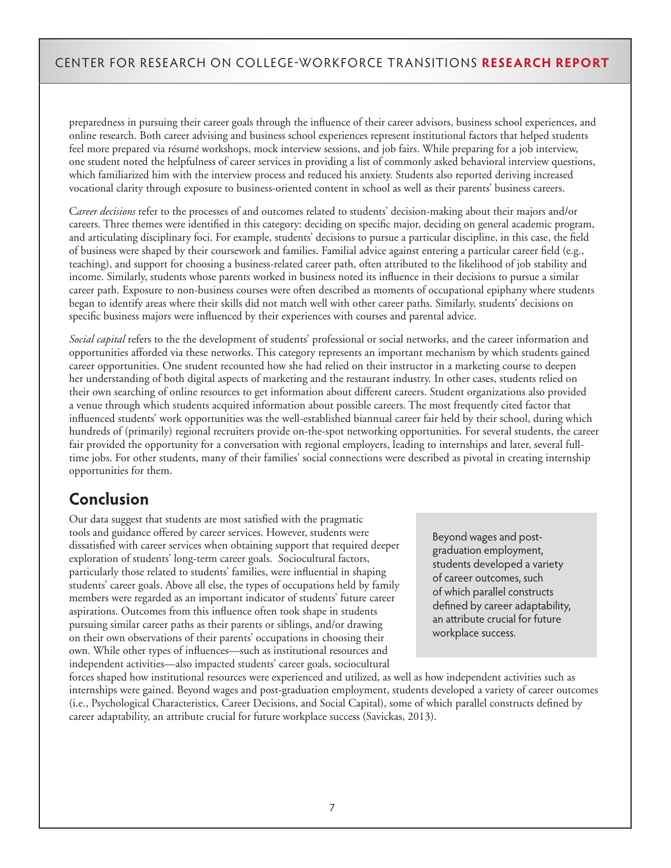preparedness in pursuing their career goals through the influence of their career advisors, business school experiences, and online research. Both career advising and business school experiences represent institutional factors that helped students feel more prepared via résumé workshops, mock interview sessions, and job fairs. While preparing for a job interview, one student noted the helpfulness of career services in providing a list of commonly asked behavioral interview questions, which familiarized him with the interview process and reduced his anxiety. Students also reported deriving increased vocational clarity through exposure to business-oriented content in school as well as their parents' business careers.

C*areer decisions* refer to the processes of and outcomes related to students' decision-making about their majors and/or careers. Three themes were identified in this category: deciding on specific major, deciding on general academic program, and articulating disciplinary foci. For example, students' decisions to pursue a particular discipline, in this case, the field of business were shaped by their coursework and families. Familial advice against entering a particular career field (e.g., teaching), and support for choosing a business-related career path, often attributed to the likelihood of job stability and income. Similarly, students whose parents worked in business noted its influence in their decisions to pursue a similar career path. Exposure to non-business courses were often described as moments of occupational epiphany where students began to identify areas where their skills did not match well with other career paths. Similarly, students' decisions on specific business majors were influenced by their experiences with courses and parental advice.

*Social capital* refers to the the development of students' professional or social networks, and the career information and opportunities afforded via these networks. This category represents an important mechanism by which students gained career opportunities. One student recounted how she had relied on their instructor in a marketing course to deepen her understanding of both digital aspects of marketing and the restaurant industry. In other cases, students relied on their own searching of online resources to get information about different careers. Student organizations also provided a venue through which students acquired information about possible careers. The most frequently cited factor that influenced students' work opportunities was the well-established biannual career fair held by their school, during which hundreds of (primarily) regional recruiters provide on-the-spot networking opportunities. For several students, the career fair provided the opportunity for a conversation with regional employers, leading to internships and later, several fulltime jobs. For other students, many of their families' social connections were described as pivotal in creating internship opportunities for them.

# **Conclusion**

Our data suggest that students are most satisfied with the pragmatic tools and guidance offered by career services. However, students were dissatisfied with career services when obtaining support that required deeper exploration of students' long-term career goals. Sociocultural factors, particularly those related to students' families, were influential in shaping students' career goals. Above all else, the types of occupations held by family members were regarded as an important indicator of students' future career aspirations. Outcomes from this influence often took shape in students pursuing similar career paths as their parents or siblings, and/or drawing on their own observations of their parents' occupations in choosing their own. While other types of influences—such as institutional resources and independent activities—also impacted students' career goals, sociocultural

Beyond wages and postgraduation employment, students developed a variety of career outcomes, such of which parallel constructs defined by career adaptability, an attribute crucial for future workplace success.

forces shaped how institutional resources were experienced and utilized, as well as how independent activities such as internships were gained. Beyond wages and post-graduation employment, students developed a variety of career outcomes (i.e., Psychological Characteristics, Career Decisions, and Social Capital), some of which parallel constructs defined by career adaptability, an attribute crucial for future workplace success (Savickas, 2013).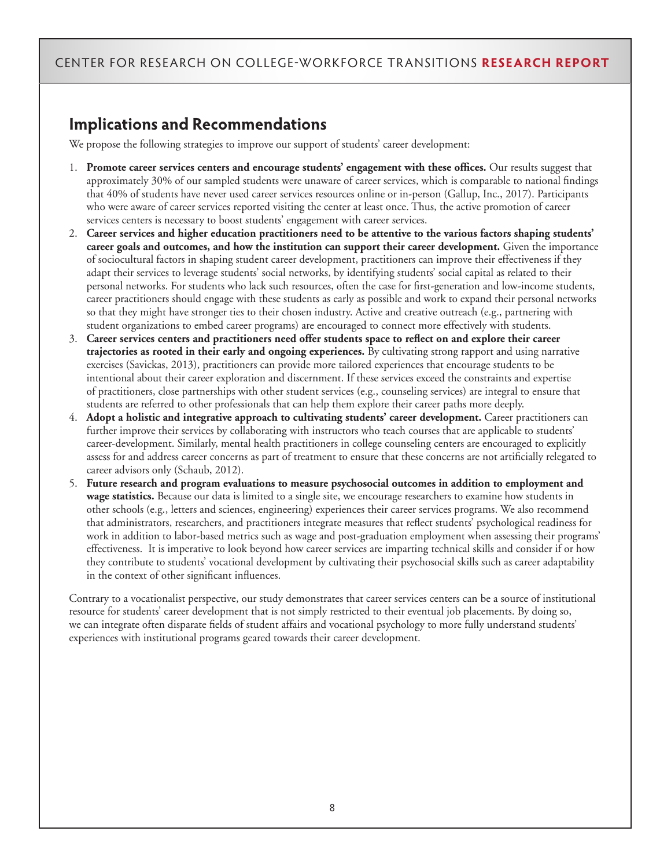# **Implications and Recommendations**

We propose the following strategies to improve our support of students' career development:

- 1. **Promote career services centers and encourage students' engagement with these offices.** Our results suggest that approximately 30% of our sampled students were unaware of career services, which is comparable to national findings that 40% of students have never used career services resources online or in-person (Gallup, Inc., 2017). Participants who were aware of career services reported visiting the center at least once. Thus, the active promotion of career services centers is necessary to boost students' engagement with career services.
- 2. **Career services and higher education practitioners need to be attentive to the various factors shaping students' career goals and outcomes, and how the institution can support their career development.** Given the importance of sociocultural factors in shaping student career development, practitioners can improve their effectiveness if they adapt their services to leverage students' social networks, by identifying students' social capital as related to their personal networks. For students who lack such resources, often the case for first-generation and low-income students, career practitioners should engage with these students as early as possible and work to expand their personal networks so that they might have stronger ties to their chosen industry. Active and creative outreach (e.g., partnering with student organizations to embed career programs) are encouraged to connect more effectively with students.
- 3. **Career services centers and practitioners need offer students space to reflect on and explore their career trajectories as rooted in their early and ongoing experiences.** By cultivating strong rapport and using narrative exercises (Savickas, 2013), practitioners can provide more tailored experiences that encourage students to be intentional about their career exploration and discernment. If these services exceed the constraints and expertise of practitioners, close partnerships with other student services (e.g., counseling services) are integral to ensure that students are referred to other professionals that can help them explore their career paths more deeply.
- 4. **Adopt a holistic and integrative approach to cultivating students' career development.** Career practitioners can further improve their services by collaborating with instructors who teach courses that are applicable to students' career-development. Similarly, mental health practitioners in college counseling centers are encouraged to explicitly assess for and address career concerns as part of treatment to ensure that these concerns are not artificially relegated to career advisors only (Schaub, 2012).
- 5. **Future research and program evaluations to measure psychosocial outcomes in addition to employment and wage statistics.** Because our data is limited to a single site, we encourage researchers to examine how students in other schools (e.g., letters and sciences, engineering) experiences their career services programs. We also recommend that administrators, researchers, and practitioners integrate measures that reflect students' psychological readiness for work in addition to labor-based metrics such as wage and post-graduation employment when assessing their programs' effectiveness. It is imperative to look beyond how career services are imparting technical skills and consider if or how they contribute to students' vocational development by cultivating their psychosocial skills such as career adaptability in the context of other significant influences.

Contrary to a vocationalist perspective, our study demonstrates that career services centers can be a source of institutional resource for students' career development that is not simply restricted to their eventual job placements. By doing so, we can integrate often disparate fields of student affairs and vocational psychology to more fully understand students' experiences with institutional programs geared towards their career development.